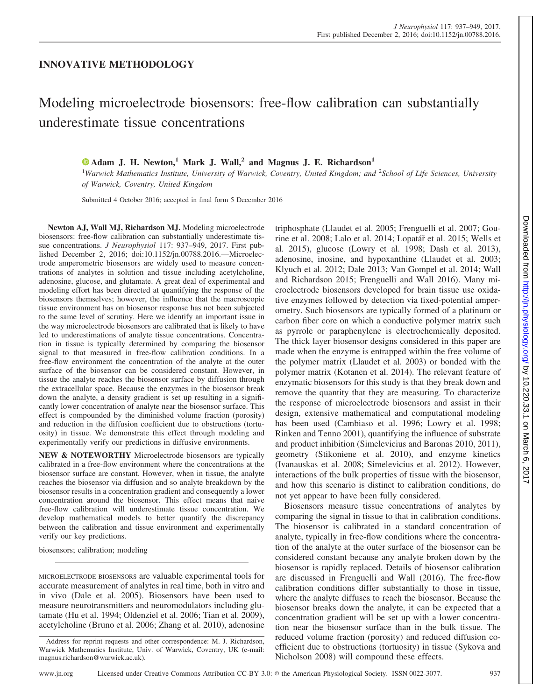# Modeling microelectrode biosensors: free-flow calibration can substantially underestimate tissue concentrations

**X [Adam J. H. Newton,](http://orcid.org/0000-0002-4726-2644)<sup>1</sup> Mark J. Wall,<sup>2</sup> and Magnus J. E. Richardson<sup>1</sup>**

<sup>1</sup>Warwick Mathematics Institute, University of Warwick, Coventry, United Kingdom; and <sup>2</sup>School of Life Sciences, University *of Warwick, Coventry, United Kingdom*

Submitted 4 October 2016; accepted in final form 5 December 2016

**Newton AJ, Wall MJ, Richardson MJ.** Modeling microelectrode biosensors: free-flow calibration can substantially underestimate tissue concentrations. *J Neurophysiol* 117: 937–949, 2017. First published December 2, 2016; doi:10.1152/jn.00788.2016.—Microelectrode amperometric biosensors are widely used to measure concentrations of analytes in solution and tissue including acetylcholine, adenosine, glucose, and glutamate. A great deal of experimental and modeling effort has been directed at quantifying the response of the biosensors themselves; however, the influence that the macroscopic tissue environment has on biosensor response has not been subjected to the same level of scrutiny. Here we identify an important issue in the way microelectrode biosensors are calibrated that is likely to have led to underestimations of analyte tissue concentrations. Concentration in tissue is typically determined by comparing the biosensor signal to that measured in free-flow calibration conditions. In a free-flow environment the concentration of the analyte at the outer surface of the biosensor can be considered constant. However, in tissue the analyte reaches the biosensor surface by diffusion through the extracellular space. Because the enzymes in the biosensor break down the analyte, a density gradient is set up resulting in a significantly lower concentration of analyte near the biosensor surface. This effect is compounded by the diminished volume fraction (porosity) and reduction in the diffusion coefficient due to obstructions (tortuosity) in tissue. We demonstrate this effect through modeling and experimentally verify our predictions in diffusive environments.

**NEW & NOTEWORTHY** Microelectrode biosensors are typically calibrated in a free-flow environment where the concentrations at the biosensor surface are constant. However, when in tissue, the analyte reaches the biosensor via diffusion and so analyte breakdown by the biosensor results in a concentration gradient and consequently a lower concentration around the biosensor. This effect means that naive free-flow calibration will underestimate tissue concentration. We develop mathematical models to better quantify the discrepancy between the calibration and tissue environment and experimentally verify our key predictions.

biosensors; calibration; modeling

MICROELECTRODE BIOSENSORS are valuable experimental tools for accurate measurement of analytes in real time, both in vitro and in vivo (Dale et al. 2005). Biosensors have been used to measure neurotransmitters and neuromodulators including glutamate (Hu et al. 1994; Oldenziel et al. 2006; Tian et al. 2009), acetylcholine (Bruno et al. 2006; Zhang et al. 2010), adenosine

triphosphate (Llaudet et al. 2005; Frenguelli et al. 2007; Gourine et al. 2008; Lalo et al. 2014; Lopatář et al. 2015; Wells et al. 2015), glucose (Lowry et al. 1998; Dash et al. 2013), adenosine, inosine, and hypoxanthine (Llaudet et al. 2003; Klyuch et al. 2012; Dale 2013; Van Gompel et al. 2014; Wall and Richardson 2015; Frenguelli and Wall 2016). Many microelectrode biosensors developed for brain tissue use oxidative enzymes followed by detection via fixed-potential amperometry. Such biosensors are typically formed of a platinum or carbon fiber core on which a conductive polymer matrix such as pyrrole or paraphenylene is electrochemically deposited. The thick layer biosensor designs considered in this paper are made when the enzyme is entrapped within the free volume of the polymer matrix (Llaudet et al. 2003) or bonded with the polymer matrix (Kotanen et al. 2014). The relevant feature of enzymatic biosensors for this study is that they break down and remove the quantity that they are measuring. To characterize the response of microelectrode biosensors and assist in their design, extensive mathematical and computational modeling has been used (Cambiaso et al. 1996; Lowry et al. 1998; Rinken and Tenno 2001), quantifying the influence of substrate and product inhibition (Simelevicius and Baronas 2010, 2011), geometry (Stikoniene et al. 2010), and enzyme kinetics (Ivanauskas et al. 2008; Simelevicius et al. 2012). However, interactions of the bulk properties of tissue with the biosensor, and how this scenario is distinct to calibration conditions, do not yet appear to have been fully considered.

Biosensors measure tissue concentrations of analytes by comparing the signal in tissue to that in calibration conditions. The biosensor is calibrated in a standard concentration of analyte, typically in free-flow conditions where the concentration of the analyte at the outer surface of the biosensor can be considered constant because any analyte broken down by the biosensor is rapidly replaced. Details of biosensor calibration are discussed in Frenguelli and Wall (2016). The free-flow calibration conditions differ substantially to those in tissue, where the analyte diffuses to reach the biosensor. Because the biosensor breaks down the analyte, it can be expected that a concentration gradient will be set up with a lower concentration near the biosensor surface than in the bulk tissue. The reduced volume fraction (porosity) and reduced diffusion coefficient due to obstructions (tortuosity) in tissue (Sykova and Nicholson 2008) will compound these effects.

Address for reprint requests and other correspondence: M. J. Richardson, Warwick Mathematics Institute, Univ. of Warwick, Coventry, UK (e-mail: [magnus.richardson@warwick.ac.uk\)](mailto:magnus.richardson@warwick.ac.uk).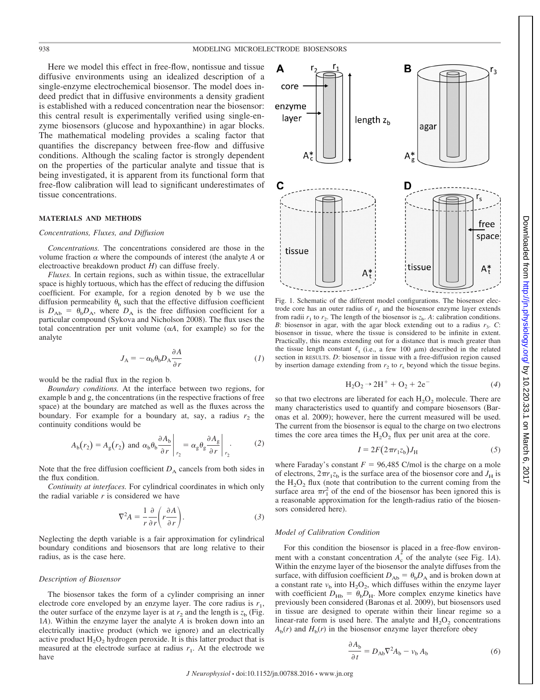Here we model this effect in free-flow, nontissue and tissue diffusive environments using an idealized description of a single-enzyme electrochemical biosensor. The model does indeed predict that in diffusive environments a density gradient is established with a reduced concentration near the biosensor: this central result is experimentally verified using single-enzyme biosensors (glucose and hypoxanthine) in agar blocks. The mathematical modeling provides a scaling factor that quantifies the discrepancy between free-flow and diffusive conditions. Although the scaling factor is strongly dependent on the properties of the particular analyte and tissue that is being investigated, it is apparent from its functional form that free-flow calibration will lead to significant underestimates of tissue concentrations.

## **MATERIALS AND METHODS**

## *Concentrations, Fluxes, and Diffusion*

*Concentrations.* The concentrations considered are those in the volume fraction  $\alpha$  where the compounds of interest (the analyte  $A$  or electroactive breakdown product *H*) can diffuse freely.

*Fluxes.* In certain regions, such as within tissue, the extracellular space is highly tortuous, which has the effect of reducing the diffusion coefficient. For example, for a region denoted by b we use the diffusion permeability  $\theta_b$  such that the effective diffusion coefficient is  $D_{\text{Ab}} = \theta_{\text{b}}D_{\text{A}}$ , where  $D_{\text{A}}$  is the free diffusion coefficient for a particular compound (Sykova and Nicholson 2008). The flux uses the total concentration per unit volume  $(\alpha A)$ , for example) so for the analyte

$$
J_{\rm A} = -\alpha_{\rm b}\theta_{\rm b}D_{\rm A}\frac{\partial A}{\partial r} \tag{1}
$$

would be the radial flux in the region b.

*Boundary conditions.* At the interface between two regions, for example b and g, the concentrations (in the respective fractions of free space) at the boundary are matched as well as the fluxes across the boundary. For example for a boundary at, say, a radius  $r_2$  the continuity conditions would be

$$
A_{\rm b}(r_2) = A_{\rm g}(r_2) \text{ and } \alpha_{\rm b}\theta_{\rm b}\frac{\partial A_{\rm b}}{\partial r}\bigg|_{r_2} = \alpha_{\rm g}\theta_{\rm g}\frac{\partial A_{\rm g}}{\partial r}\bigg|_{r_2}.
$$
 (2)

Note that the free diffusion coefficient  $D_A$  cancels from both sides in the flux condition.

*Continuity at interfaces.* For cylindrical coordinates in which only the radial variable  $r$  is considered we have

$$
\nabla^2 A = \frac{1}{r} \frac{\partial}{\partial r} \left( r \frac{\partial A}{\partial r} \right). \tag{3}
$$

Neglecting the depth variable is a fair approximation for cylindrical boundary conditions and biosensors that are long relative to their radius, as is the case here.

## *Description of Biosensor*

The biosensor takes the form of a cylinder comprising an inner electrode core enveloped by an enzyme layer. The core radius is  $r_1$ , the outer surface of the enzyme layer is at  $r_2$  and the length is  $z_b$  (Fig. 1*A*). Within the enzyme layer the analyte *A* is broken down into an electrically inactive product (which we ignore) and an electrically active product  $H_2O_2$  hydrogen peroxide. It is this latter product that is measured at the electrode surface at radius  $r<sub>1</sub>$ . At the electrode we have



Fig. 1. Schematic of the different model configurations. The biosensor electrode core has an outer radius of  $r_1$  and the biosensor enzyme layer extends from radii  $r_1$  to  $r_2$ . The length of the biosensor is  $z_b$ . A: calibration conditions. *B*: biosensor in agar, with the agar block extending out to a radius  $r_3$ . *C*: biosensor in tissue, where the tissue is considered to be infinite in extent. Practically, this means extending out for a distance that is much greater than the tissue length constant  $\ell_t$  (i.e., a few 100  $\mu$ m) described in the related section in RESULTS. *D*: biosensor in tissue with a free-diffusion region caused by insertion damage extending from  $r_2$  to  $r_s$  beyond which the tissue begins.

$$
H_2O_2 \to 2H^+ + O_2 + 2e^-
$$
 (4)

so that two electrons are liberated for each  $H_2O_2$  molecule. There are many characteristics used to quantify and compare biosensors (Baronas et al. 2009); however, here the current measured will be used. The current from the biosensor is equal to the charge on two electrons times the core area times the  $H_2O_2$  flux per unit area at the core.

$$
I = 2F(2\pi r_1 z_b)J_H
$$
 (5)

where Faraday's constant  $F = 96,485$  C/mol is the charge on a mole of electrons,  $2\pi r_1 z_b$  is the surface area of the biosensor core and  $J_H$  is the  $H_2O_2$  flux (note that contribution to the current coming from the surface area  $\pi r_1^2$  of the end of the biosensor has been ignored this is a reasonable approximation for the length-radius ratio of the biosensors considered here).

## *Model of Calibration Condition*

For this condition the biosensor is placed in a free-flow environment with a constant concentration  $A_c^*$  of the analyte (see Fig. 1*A*). Within the enzyme layer of the biosensor the analyte diffuses from the surface, with diffusion coefficient  $D_{Ab} = \theta_b D_A$  and is broken down at a constant rate  $v<sub>b</sub>$  into  $H<sub>2</sub>O<sub>2</sub>$ , which diffuses within the enzyme layer with coefficient  $D_{\text{Hb}} = \theta_{\text{b}} D_{\text{H}}$ . More complex enzyme kinetics have previously been considered (Baronas et al. 2009), but biosensors used in tissue are designed to operate within their linear regime so a linear-rate form is used here. The analyte and  $H_2O_2$  concentrations  $A_{\rm b}(r)$  and  $H_{\rm b}(r)$  in the biosensor enzyme layer therefore obey

$$
\frac{\partial A_{\rm b}}{\partial t} = D_{\rm Ab} \nabla^2 A_{\rm b} - v_{\rm b} A_{\rm b}
$$
 (6)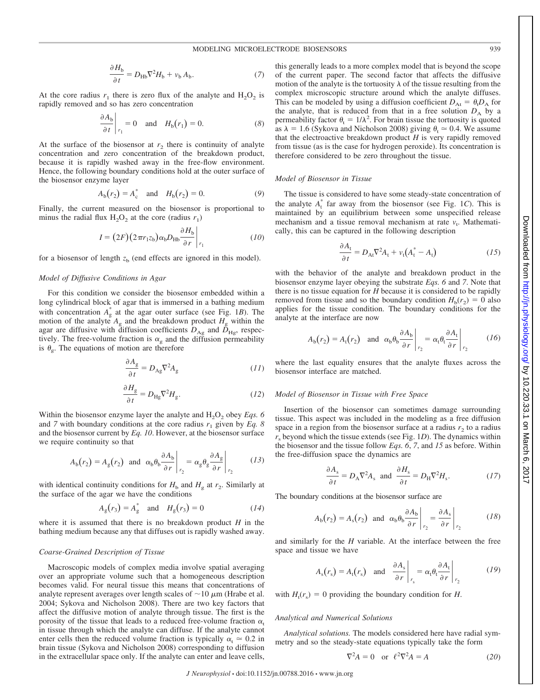$$
\frac{\partial H_{\rm b}}{\partial t} = D_{\rm Hb} \nabla^2 H_{\rm b} + v_{\rm b} A_{\rm b}.
$$
 (7)

At the core radius  $r_1$  there is zero flux of the analyte and  $H_2O_2$  is rapidly removed and so has zero concentration

$$
\left. \frac{\partial A_b}{\partial t} \right|_{r_1} = 0 \quad \text{and} \quad H_b(r_1) = 0. \tag{8}
$$

At the surface of the biosensor at  $r_2$  there is continuity of analyte concentration and zero concentration of the breakdown product, because it is rapidly washed away in the free-flow environment. Hence, the following boundary conditions hold at the outer surface of the biosensor enzyme layer

$$
A_b(r_2) = A_c^*
$$
 and  $H_b(r_2) = 0.$  (9)

Finally, the current measured on the biosensor is proportional to minus the radial flux  $H_2O_2$  at the core (radius  $r_1$ )

$$
I = (2F)(2\pi r_1 z_b) \alpha_b D_{\rm Hb} \frac{\partial H_b}{\partial r} \bigg|_{r_1}
$$
 (10)

for a biosensor of length  $z<sub>b</sub>$  (end effects are ignored in this model).

# *Model of Diffusive Conditions in Agar*

For this condition we consider the biosensor embedded within a long cylindrical block of agar that is immersed in a bathing medium with concentration  $A_{g}^{*}$  at the agar outer surface (see Fig. 1*B*). The motion of the analyte  $A_{g}$  and the breakdown product  $H_{g}$  within the agar are diffusive with diffusion coefficients  $D_{\text{Ag}}$  and  $\bar{D}_{\text{Hg}}$ , respectively. The free-volume fraction is  $\alpha_{g}$  and the diffusion permeability is  $\theta_{\rm g}$ . The equations of motion are therefore

$$
\frac{\partial A_{\rm g}}{\partial t} = D_{\rm Ag} \nabla^2 A_{\rm g}
$$
 (11)

$$
\frac{\partial H_{\rm g}}{\partial t} = D_{\rm Hg} \nabla^2 H_{\rm g}.
$$
 (12)

Within the biosensor enzyme layer the analyte and H<sub>2</sub>O<sub>2</sub> obey *Eqs. 6* and *7* with boundary conditions at the core radius  $r_1$  given by *Eq. 8* and the biosensor current by *Eq. 10*. However, at the biosensor surface we require continuity so that

$$
A_{\rm b}(r_2) = A_{\rm g}(r_2) \text{ and } \alpha_{\rm b}\theta_{\rm b}\frac{\partial A_{\rm b}}{\partial r}\bigg|_{r_2} = \alpha_{\rm g}\theta_{\rm g}\frac{\partial A_{\rm g}}{\partial r}\bigg|_{r_2} \qquad (13)
$$

with identical continuity conditions for  $H<sub>b</sub>$  and  $H<sub>g</sub>$  at  $r<sub>2</sub>$ . Similarly at the surface of the agar we have the conditions

$$
A_g(r_3) = A_g^*
$$
 and  $H_g(r_3) = 0$  (14)

where it is assumed that there is no breakdown product *H* in the bathing medium because any that diffuses out is rapidly washed away.

#### *Coarse-Grained Description of Tissue*

Macroscopic models of complex media involve spatial averaging over an appropriate volume such that a homogeneous description becomes valid. For neural tissue this means that concentrations of analyte represent averages over length scales of  $\sim$  10  $\mu$ m (Hrabe et al. 2004; Sykova and Nicholson 2008). There are two key factors that affect the diffusive motion of analyte through tissue. The first is the porosity of the tissue that leads to a reduced free-volume fraction  $\alpha_t$ in tissue through which the analyte can diffuse. If the analyte cannot enter cells then the reduced volume fraction is typically  $\alpha_t \approx 0.2$  in brain tissue (Sykova and Nicholson 2008) corresponding to diffusion in the extracellular space only. If the analyte can enter and leave cells,

this generally leads to a more complex model that is beyond the scope of the current paper. The second factor that affects the diffusive motion of the analyte is the tortuosity  $\lambda$  of the tissue resulting from the complex microscopic structure around which the analyte diffuses. This can be modeled by using a diffusion coefficient  $D_{\text{At}} = \theta_t D_A$  for the analyte, that is reduced from that in a free solution  $D_A$  by a permeability factor  $\theta_t = 1/\lambda^2$ . For brain tissue the tortuosity is quoted as  $\lambda = 1.6$  (Sykova and Nicholson 2008) giving  $\theta_t \approx 0.4$ . We assume that the electroactive breakdown product  $H$  is very rapidly removed from tissue (as is the case for hydrogen peroxide). Its concentration is therefore considered to be zero throughout the tissue.

## *Model of Biosensor in Tissue*

The tissue is considered to have some steady-state concentration of the analyte  $A_t^*$  far away from the biosensor (see Fig. 1*C*). This is maintained by an equilibrium between some unspecified release mechanism and a tissue removal mechanism at rate  $v_t$ . Mathematically, this can be captured in the following description

$$
\frac{\partial A_t}{\partial t} = D_{\text{At}} \nabla^2 A_t + v_t (A_t^* - A_t)
$$
 (15)

with the behavior of the analyte and breakdown product in the biosensor enzyme layer obeying the substrate *Eqs. 6* and *7*. Note that there is no tissue equation for *H* because it is considered to be rapidly removed from tissue and so the boundary condition  $H_b(r_2) = 0$  also applies for the tissue condition. The boundary conditions for the analyte at the interface are now

$$
A_{\mathfrak{b}}(r_2) = A_{\mathfrak{t}}(r_2) \quad \text{and} \quad \alpha_{\mathfrak{b}} \theta_{\mathfrak{b}} \frac{\partial A_{\mathfrak{b}}}{\partial r} \bigg|_{r_2} = \alpha_{\mathfrak{t}} \theta_{\mathfrak{t}} \frac{\partial A_{\mathfrak{t}}}{\partial r} \bigg|_{r_2} \tag{16}
$$

where the last equality ensures that the analyte fluxes across the biosensor interface are matched.

## *Model of Biosensor in Tissue with Free Space*

Insertion of the biosensor can sometimes damage surrounding tissue. This aspect was included in the modeling as a free diffusion space in a region from the biosensor surface at a radius  $r<sub>2</sub>$  to a radius *r*<sup>s</sup> beyond which the tissue extends (see Fig. 1*D*). The dynamics within the biosensor and the tissue follow *Eqs. 6*, *7*, and *15* as before. Within the free-diffusion space the dynamics are

$$
\frac{\partial A_s}{\partial t} = D_A \nabla^2 A_s \text{ and } \frac{\partial H_s}{\partial t} = D_H \nabla^2 H_s. \tag{17}
$$

The boundary conditions at the biosensor surface are

$$
A_{\rm b}(r_2) = A_{\rm s}(r_2) \text{ and } \alpha_{\rm b}\theta_{\rm b}\frac{\partial A_{\rm b}}{\partial r}\bigg|_{r_2} = \frac{\partial A_{\rm s}}{\partial r}\bigg|_{r_2} \tag{18}
$$

and similarly for the *H* variable. At the interface between the free space and tissue we have

$$
A_{\rm s}(r_{\rm s}) = A_{\rm t}(r_{\rm s}) \quad \text{and} \quad \frac{\partial A_{\rm s}}{\partial r}\bigg|_{r_{\rm s}} = \alpha_{\rm t}\theta_{\rm t}\frac{\partial A_{\rm t}}{\partial r}\bigg|_{r_{\rm 2}} \tag{19}
$$

with  $H_t(r_s) = 0$  providing the boundary condition for *H*.

## *Analytical and Numerical Solutions*

*Analytical solutions.* The models considered here have radial symmetry and so the steady-state equations typically take the form

$$
\nabla^2 A = 0 \quad \text{or} \quad \ell^2 \nabla^2 A = A \tag{20}
$$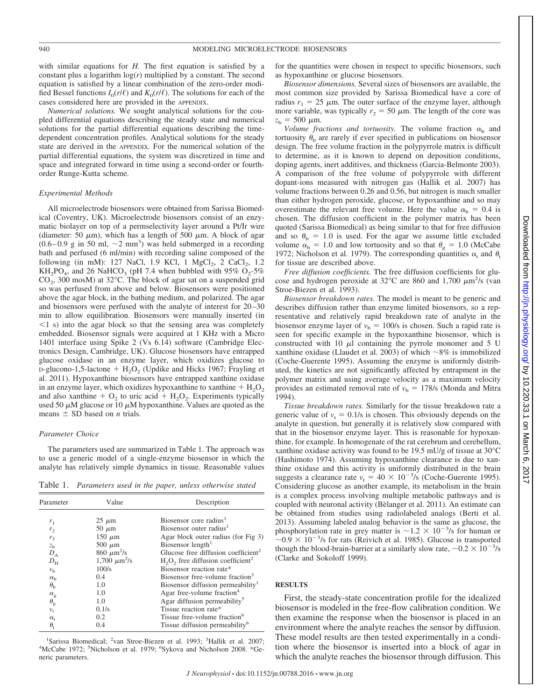with similar equations for *H*. The first equation is satisfied by a constant plus a logarithm log(*r*) multiplied by a constant. The second equation is satisfied by a linear combination of the zero-order modified Bessel functions  $I_0(r/\ell)$  and  $K_0(r/\ell)$ . The solutions for each of the cases considered here are provided in the APPENDIX.

*Numerical solutions.* We sought analytical solutions for the coupled differential equations describing the steady state and numerical solutions for the partial differential equations describing the timedependent concentration profiles. Analytical solutions for the steady state are derived in the APPENDIX. For the numerical solution of the partial differential equations, the system was discretized in time and space and integrated forward in time using a second-order or fourthorder Runge-Kutta scheme.

## *Experimental Methods*

All microelectrode biosensors were obtained from Sarissa Biomedical (Coventry, UK). Microelectrode biosensors consist of an enzymatic biolayer on top of a permselectivity layer around a Pt/Ir wire (diameter: 50  $\mu$ m), which has a length of 500  $\mu$ m. A block of agar  $(0.6-0.9 \text{ g} \text{ in } 50 \text{ ml}, \sim 2 \text{ mm}^3)$  was held submerged in a recording bath and perfused (6 ml/min) with recording saline composed of the following (in mM): 127 NaCl, 1.9 KCl, 1 MgCl<sub>2</sub>, 2 CaCl<sub>2</sub>, 1.2  $KH_2PO_4$ , and 26 NaHCO<sub>3</sub> (pH 7.4 when bubbled with 95% O<sub>2</sub>-5% CO2, 300 mosM) at 32°C. The block of agar sat on a suspended grid so was perfused from above and below. Biosensors were positioned above the agar block, in the bathing medium, and polarized. The agar and biosensors were perfused with the analyte of interest for 20 –30 min to allow equilibration. Biosensors were manually inserted (in  $\leq 1$  s) into the agar block so that the sensing area was completely embedded. Biosensor signals were acquired at 1 KHz with a Micro 1401 interface using Spike 2 (Vs 6.14) software (Cambridge Electronics Design, Cambridge, UK). Glucose biosensors have entrapped glucose oxidase in an enzyme layer, which oxidizes glucose to D-glucono-1,5-lactone +  $H_2O_2$  (Updike and Hicks 1967; Frayling et al. 2011). Hypoxanthine biosensors have entrapped xanthine oxidase in an enzyme layer, which oxidizes hypoxanthine to xanthine  $+ H_2O_2$ and also xanthine  $+ O_2$  to uric acid  $+ H_2O_2$ . Experiments typically used 50  $\mu$ M glucose or 10  $\mu$ M hypoxanthine. Values are quoted as the means  $\pm$  SD based on *n* trials.

## *Parameter Choice*

The parameters used are summarized in Table 1. The approach was to use a generic model of a single-enzyme biosensor in which the analyte has relatively simple dynamics in tissue. Reasonable values

Table 1. *Parameters used in the paper, unless otherwise stated*

| Parameter                                  | Value               | Description                                     |
|--------------------------------------------|---------------------|-------------------------------------------------|
| $r_{1}$                                    | $25 \mu m$          | Biosensor core radius <sup>1</sup>              |
| r <sub>2</sub>                             | $50 \mu m$          | Biosensor outer radius <sup>1</sup>             |
| r <sub>3</sub>                             | $150 \mu m$         | Agar block outer radius (for Fig 3)             |
| $z_{\rm b}$                                | 500 $\mu$ m         | Biosensor length <sup>1</sup>                   |
| $D_{\rm A}$                                | $860 \mu m^2/s$     | Glucose free diffusion coefficient <sup>2</sup> |
| $D_{\rm H}$                                | $1,700 \ \mu m^2/s$ | $H2O2$ free diffusion coefficient <sup>2</sup>  |
| $v_{\rm b}$                                | 100/s               | Biosensor reaction rate*                        |
| $\alpha_{\rm b}$                           | 0.4                 | Biosensor free-volume fraction <sup>3</sup>     |
| $\theta_{\rm b}$                           | 1.0                 | Biosensor diffusion permeability <sup>1</sup>   |
|                                            | 1.0                 | Agar free-volume fraction <sup>4</sup>          |
| $\overset{\alpha_{\rm g}}{\theta_{\rm g}}$ | 1.0                 | Agar diffusion permeability <sup>5</sup>        |
| $v_{\rm t}$                                | 0.1/s               | Tissue reaction rate*                           |
| $\alpha_{\rm t}$                           | 0.2                 | Tissue free-volume fraction <sup>6</sup>        |
| $\theta_{\rm r}$                           | 0.4                 | Tissue diffusion permeability <sup>6</sup>      |

<sup>1</sup>Sarissa Biomedical; <sup>2</sup>van Stroe-Biezen et al. 1993; <sup>3</sup>Hallik et al. 2007;<br><sup>4</sup>McCabe 1972; <sup>5</sup>Nicholson et al. 1979; <sup>6</sup>Sykova and Nicholson 2008. \*Ge-McCabe 1972; <sup>5</sup>Nicholson et al. 1979; <sup>6</sup>Sykova and Nicholson 2008. \*Generic parameters.

for the quantities were chosen in respect to specific biosensors, such as hypoxanthine or glucose biosensors.

*Biosensor dimensions.* Several sizes of biosensors are available, the most common size provided by Sarissa Biomedical have a core of radius  $r_1 = 25 \mu m$ . The outer surface of the enzyme layer, although more variable, was typically  $r_2 = 50 \mu m$ . The length of the core was  $z_{\rm b} = 500 \mu \rm{m}.$ 

*Volume fractions and tortuosity*. The volume fraction  $\alpha_{\rm b}$  and tortuosity  $\theta_{\rm b}$  are rarely if ever specified in publications on biosensor design. The free volume fraction in the polypyrrole matrix is difficult to determine, as it is known to depend on deposition conditions, doping agents, inert additives, and thickness (Garcia-Belmonte 2003). A comparison of the free volume of polypyrrole with different dopant-ions measured with nitrogen gas (Hallik et al. 2007) has volume fractions between 0.26 and 0.56, but nitrogen is much smaller than either hydrogen peroxide, glucose, or hypoxanthine and so may overestimate the relevant free volume. Here the value  $\alpha_{\rm b} = 0.4$  is chosen. The diffusion coefficient in the polymer matrix has been quoted (Sarissa Biomedical) as being similar to that for free diffusion and so  $\theta_{\rm b} = 1.0$  is used. For the agar we assume little excluded volume  $\alpha_{\rm b} = 1.0$  and low tortuosity and so that  $\theta_{\rm g} = 1.0$  (McCabe 1972; Nicholson et al. 1979). The corresponding quantities  $\alpha_t$  and  $\theta_t$ for tissue are described above.

*Free diffusion coefficients.* The free diffusion coefficients for glucose and hydrogen peroxide at 32°C are 860 and 1,700  $\mu$ m<sup>2</sup>/s (van Stroe-Biezen et al. 1993).

*Biosensor breakdown rates.* The model is meant to be generic and describes diffusion rather than enzyme limited biosensors, so a representative and relatively rapid breakdown rate of analyte in the biosensor enzyme layer of  $v<sub>b</sub> = 100/s$  is chosen. Such a rapid rate is seen for specific example in the hypoxanthine biosensor, which is constructed with 10  $\mu$ l containing the pyrrole monomer and 5 U xanthine oxidase (Llaudet et al. 2003) of which  $\sim 8\%$  is immobilized (Coche-Guerente 1995). Assuming the enzyme is uniformly distributed, the kinetics are not significantly affected by entrapment in the polymer matrix and using average velocity as a maximum velocity provides an estimated removal rate of  $v<sub>b</sub> = 178/s$  (Monda and Mitra 1994).

*Tissue breakdown rates.* Similarly for the tissue breakdown rate a generic value of  $v_t = 0.1/s$  is chosen. This obviously depends on the analyte in question, but generally it is relatively slow compared with that in the biosensor enzyme layer. This is reasonable for hypoxanthine, for example. In homogenate of the rat cerebrum and cerebellum, xanthine oxidase activity was found to be 19.5 mU/g of tissue at 30°C (Hashimoto 1974). Assuming hypoxanthine clearance is due to xanthine oxidase and this activity is uniformly distributed in the brain suggests a clearance rate  $v_t = 40 \times 10^{-3} / s$  (Coche-Guerente 1995). Considering glucose as another example, its metabolism in the brain is a complex process involving multiple metabolic pathways and is coupled with neuronal activity (Bèlanger et al. 2011). An estimate can be obtained from studies using radiolabeled analogs (Berti et al. 2013). Assuming labeled analog behavior is the same as glucose, the phosphorylation rate in grey matter is  $\sim$  1.2  $\times$  10<sup>-3</sup>/s for human or  $\sim$  0.9  $\times$  10<sup>-3</sup>/s for rats (Reivich et al. 1985). Glucose is transported though the blood-brain-barrier at a similarly slow rate,  $\sim 0.2 \times 10^{-3}$ /s (Clarke and Sokoloff 1999).

# **RESULTS**

First, the steady-state concentration profile for the idealized biosensor is modeled in the free-flow calibration condition. We then examine the response when the biosensor is placed in an environment where the analyte reaches the sensor by diffusion. These model results are then tested experimentally in a condition where the biosensor is inserted into a block of agar in which the analyte reaches the biosensor through diffusion. This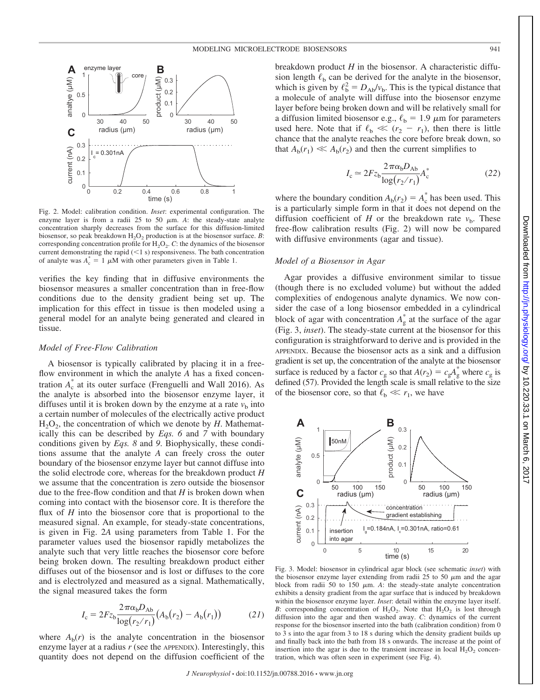

Fig. 2. Model: calibration condition. *Inset*: experimental configuration. The enzyme layer is from a radii 25 to 50  $\mu$ m. A: the steady-state analyte concentration sharply decreases from the surface for this diffusion-limited biosensor, so peak breakdown  $H_2O_2$  production is at the biosensor surface. *B*: corresponding concentration profile for  $H_2O_2$ . *C*: the dynamics of the biosensor current demonstrating the rapid  $(< 1 s)$  responsiveness. The bath concentration of analyte was  $A_c^* = 1 \mu M$  with other parameters given in Table 1.

verifies the key finding that in diffusive environments the biosensor measures a smaller concentration than in free-flow conditions due to the density gradient being set up. The implication for this effect in tissue is then modeled using a general model for an analyte being generated and cleared in tissue.

# *Model of Free-Flow Calibration*

A biosensor is typically calibrated by placing it in a freeflow environment in which the analyte *A* has a fixed concentration  $A_c^*$  at its outer surface (Frenguelli and Wall 2016). As the analyte is absorbed into the biosensor enzyme layer, it diffuses until it is broken down by the enzyme at a rate  $v<sub>b</sub>$  into a certain number of molecules of the electrically active product  $H_2O_2$ , the concentration of which we denote by *H*. Mathematically this can be described by *Eqs. 6* and *7* with boundary conditions given by *Eqs. 8* and *9*. Biophysically, these conditions assume that the analyte *A* can freely cross the outer boundary of the biosensor enzyme layer but cannot diffuse into the solid electrode core, whereas for the breakdown product *H* we assume that the concentration is zero outside the biosensor due to the free-flow condition and that *H* is broken down when coming into contact with the biosensor core. It is therefore the flux of *H* into the biosensor core that is proportional to the measured signal. An example, for steady-state concentrations, is given in Fig. 2*A* using parameters from Table 1. For the parameter values used the biosensor rapidly metabolizes the analyte such that very little reaches the biosensor core before being broken down. The resulting breakdown product either diffuses out of the biosensor and is lost or diffuses to the core and is electrolyzed and measured as a signal. Mathematically, the signal measured takes the form

$$
I_{\rm c} = 2Fz_{\rm b} \frac{2\pi\alpha_{\rm b}D_{\rm Ab}}{\log(r_2/r_1)} \big(A_{\rm b}(r_2) - A_{\rm b}(r_1)\big) \tag{21}
$$

where  $A_b(r)$  is the analyte concentration in the biosensor enzyme layer at a radius *r* (see the APPENDIX). Interestingly, this quantity does not depend on the diffusion coefficient of the

breakdown product *H* in the biosensor. A characteristic diffusion length  $\ell_{\rm b}$  can be derived for the analyte in the biosensor, which is given by  $\ell_b^2 = D_{Ab}/v_b$ . This is the typical distance that a molecule of analyte will diffuse into the biosensor enzyme layer before being broken down and will be relatively small for a diffusion limited biosensor e.g.,  $\ell_b = 1.9 \mu m$  for parameters used here. Note that if  $\ell_{\rm b} \ll (r_2 - r_1)$ , then there is little chance that the analyte reaches the core before break down, so that  $A_b(r_1) \ll A_b(r_2)$  and then the current simplifies to

$$
I_{\rm c} \simeq 2Fz_{\rm b} \frac{2\pi\alpha_{\rm b}D_{\rm Ab}}{\log(r_2/r_1)} A_{\rm c}^* \tag{22}
$$

where the boundary condition  $A_b(r_2) = A_c^*$  has been used. This is a particularly simple form in that it does not depend on the diffusion coefficient of *H* or the breakdown rate  $v<sub>b</sub>$ . These free-flow calibration results (Fig. 2) will now be compared with diffusive environments (agar and tissue).

## *Model of a Biosensor in Agar*

Agar provides a diffusive environment similar to tissue (though there is no excluded volume) but without the added complexities of endogenous analyte dynamics. We now consider the case of a long biosensor embedded in a cylindrical block of agar with concentration  $A_{g}^{*}$  at the surface of the agar (Fig. 3, *inset*). The steady-state current at the biosensor for this configuration is straightforward to derive and is provided in the APPENDIX. Because the biosensor acts as a sink and a diffusion gradient is set up, the concentration of the analyte at the biosensor surface is reduced by a factor  $c_g$  so that  $A(r_2) = c_g A_g^*$  where  $c_g$  is defined (57). Provided the length scale is small relative to the size of the biosensor core, so that  $\ell_{\rm b} \ll r_1$ , we have



Fig. 3. Model: biosensor in cylindrical agar block (see schematic *inset*) with the biosensor enzyme layer extending from radii 25 to 50  $\mu$ m and the agar block from radii 50 to 150  $\mu$ m. *A*: the steady-state analyte concentration exhibits a density gradient from the agar surface that is induced by breakdown within the biosensor enzyme layer. *Inset*: detail within the enzyme layer itself. *B*: corresponding concentration of  $H_2O_2$ . Note that  $H_2O_2$  is lost through diffusion into the agar and then washed away. *C*: dynamics of the current response for the biosensor inserted into the bath (calibration condition) from 0 to 3 s into the agar from 3 to 18 s during which the density gradient builds up and finally back into the bath from 18 s onwards. The increase at the point of insertion into the agar is due to the transient increase in local  $H_2O_2$  concentration, which was often seen in experiment (see Fig. 4).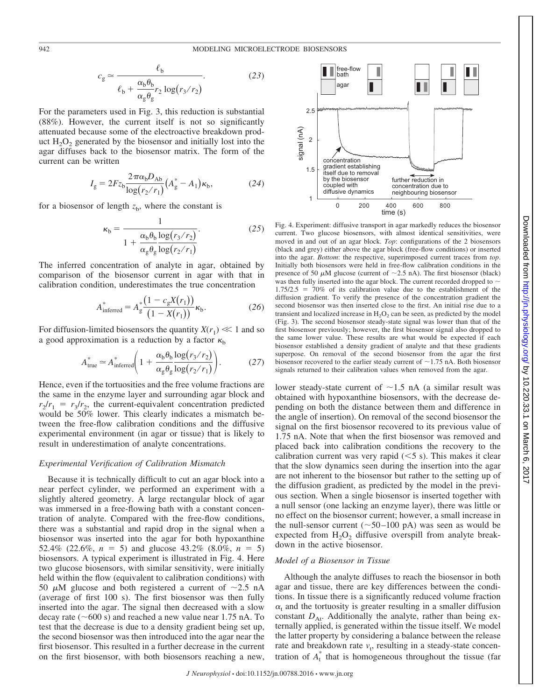942 MODELING MICROELECTRODE BIOSENSORS

$$
c_{g} \simeq \frac{\ell_{b}}{\ell_{b} + \frac{\alpha_{b}\theta_{b}}{\alpha_{g}\theta_{g}}r_{2}\log(r_{3}/r_{2})}.
$$
 (23)

For the parameters used in Fig. 3, this reduction is substantial (88%). However, the current itself is not so significantly attenuated because some of the electroactive breakdown product  $H_2O_2$  generated by the biosensor and initially lost into the agar diffuses back to the biosensor matrix. The form of the current can be written

$$
I_{g} = 2Fz_{b} \frac{2\pi\alpha_{b}D_{Ab}}{\log(r_{2}/r_{1})} (A_{g}^{*} - A_{1})\kappa_{b},
$$
 (24)

for a biosensor of length  $z<sub>b</sub>$ , where the constant is

$$
\kappa_{\rm b} = \frac{1}{1 + \frac{\alpha_{\rm b} \theta_{\rm b} \log(r_3/r_2)}{\alpha_{\rm g} \theta_{\rm g} \log(r_2/r_1)}}.
$$
(25)

The inferred concentration of analyte in agar, obtained by comparison of the biosensor current in agar with that in calibration condition, underestimates the true concentration

$$
A_{\text{inferred}}^* = A_g^* \frac{\left(1 - c_g X(r_1)\right)}{\left(1 - X(r_1)\right)} \kappa_b. \tag{26}
$$

For diffusion-limited biosensors the quantity  $X(r_1) \ll 1$  and so a good approximation is a reduction by a factor  $\kappa_b$ 

$$
A_{\text{true}}^* \simeq A_{\text{inferred}}^* \bigg( 1 + \frac{\alpha_{\text{b}} \theta_{\text{b}} \log(r_3/r_2)}{\alpha_{\text{g}} \theta_{\text{g}} \log(r_2/r_1)} \bigg). \tag{27}
$$

Hence, even if the tortuosities and the free volume fractions are the same in the enzyme layer and surrounding agar block and  $r_2/r_1 = r_3/r_2$ , the current-equivalent concentration predicted would be 50% lower. This clearly indicates a mismatch between the free-flow calibration conditions and the diffusive experimental environment (in agar or tissue) that is likely to result in underestimation of analyte concentrations.

## *Experimental Verification of Calibration Mismatch*

Because it is technically difficult to cut an agar block into a near perfect cylinder, we performed an experiment with a slightly altered geometry. A large rectangular block of agar was immersed in a free-flowing bath with a constant concentration of analyte. Compared with the free-flow conditions, there was a substantial and rapid drop in the signal when a biosensor was inserted into the agar for both hypoxanthine 52.4% (22.6%,  $n = 5$ ) and glucose 43.2% (8.0%,  $n = 5$ ) biosensors. A typical experiment is illustrated in Fig. 4. Here two glucose biosensors, with similar sensitivity, were initially held within the flow (equivalent to calibration conditions) with 50  $\mu$ M glucose and both registered a current of  $\sim$ 2.5 nA (average of first 100 s). The first biosensor was then fully inserted into the agar. The signal then decreased with a slow decay rate ( $\sim$ 600 s) and reached a new value near 1.75 nA. To test that the decrease is due to a density gradient being set up, the second biosensor was then introduced into the agar near the first biosensor. This resulted in a further decrease in the current on the first biosensor, with both biosensors reaching a new,



free-flow bath

current. Two glucose biosensors, with almost identical sensitivities, were moved in and out of an agar block. *Top*: configurations of the 2 biosensors (black and grey) either above the agar block (free-flow conditions) or inserted into the agar. *Bottom*: the respective, superimposed current traces from *top*. Initially both biosensors were held in free-flow calibration conditions in the presence of 50  $\mu$ M glucose (current of  $\sim$ 2.5 nA). The first biosensor (black) was then fully inserted into the agar block. The current recorded dropped to  $\sim$  $1.75/2.5 = 70\%$  of its calibration value due to the establishment of the diffusion gradient. To verify the presence of the concentration gradient the second biosensor was then inserted close to the first. An initial rise due to a transient and localized increase in  $H_2O_2$  can be seen, as predicted by the model (Fig. 3). The second biosensor steady-state signal was lower than that of the first biosensor previously; however, the first biosensor signal also dropped to the same lower value. These results are what would be expected if each biosensor established a density gradient of analyte and that these gradients superpose. On removal of the second biosensor from the agar the first biosensor recovered to the earlier steady current of  $\sim$ 1.75 nA. Both biosensor signals returned to their calibration values when removed from the agar.

lower steady-state current of  $\sim$ 1.5 nA (a similar result was obtained with hypoxanthine biosensors, with the decrease depending on both the distance between them and difference in the angle of insertion). On removal of the second biosensor the signal on the first biosensor recovered to its previous value of 1.75 nA. Note that when the first biosensor was removed and placed back into calibration conditions the recovery to the calibration current was very rapid  $(< 5 \text{ s})$ . This makes it clear that the slow dynamics seen during the insertion into the agar are not inherent to the biosensor but rather to the setting up of the diffusion gradient, as predicted by the model in the previous section. When a single biosensor is inserted together with a null sensor (one lacking an enzyme layer), there was little or no effect on the biosensor current; however, a small increase in the null-sensor current  $(\sim 50 - 100 \text{ pA})$  was seen as would be expected from  $H_2O_2$  diffusive overspill from analyte breakdown in the active biosensor.

# *Model of a Biosensor in Tissue*

Although the analyte diffuses to reach the biosensor in both agar and tissue, there are key differences between the conditions. In tissue there is a significantly reduced volume fraction  $\alpha_t$  and the tortuosity is greater resulting in a smaller diffusion constant  $D_{\text{At}}$ . Additionally the analyte, rather than being externally applied, is generated within the tissue itself. We model the latter property by considering a balance between the release rate and breakdown rate  $v_t$ , resulting in a steady-state concentration of  $A_t^*$  that is homogeneous throughout the tissue (far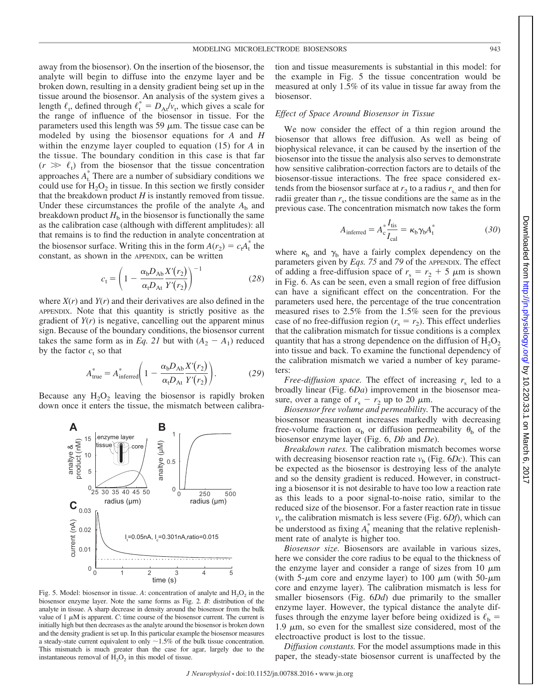away from the biosensor). On the insertion of the biosensor, the analyte will begin to diffuse into the enzyme layer and be broken down, resulting in a density gradient being set up in the tissue around the biosensor. An analysis of the system gives a length  $\ell_t$ , defined through  $\ell_t^* = D_{\rm At}/v_t$ , which gives a scale for the range of influence of the biosensor in tissue. For the parameters used this length was 59  $\mu$ m. The tissue case can be modeled by using the biosensor equations for *A* and *H* within the enzyme layer coupled to equation (15) for *A* in the tissue. The boundary condition in this case is that far  $(r \gg \ell_t)$  from the biosensor that the tissue concentration approaches  $A_t^*$ . There are a number of subsidiary conditions we could use for  $H_2O_2$  in tissue. In this section we firstly consider that the breakdown product  $H$  is instantly removed from tissue. Under these circumstances the profile of the analyte  $A<sub>b</sub>$  and breakdown product  $H<sub>b</sub>$  in the biosensor is functionally the same as the calibration case (although with different amplitudes): all that remains is to find the reduction in analyte concentration at the biosensor surface. Writing this in the form  $A(r_2) = c_t A_t^*$  the constant, as shown in the APPENDIX, can be written

$$
c_{\rm t} = \left(1 - \frac{\alpha_{\rm b} D_{\rm Ab} X'(r_2)}{\alpha_{\rm t} D_{\rm At} Y'(r_2)}\right)^{-1} \tag{28}
$$

where  $X(r)$  and  $Y(r)$  and their derivatives are also defined in the APPENDIX. Note that this quantity is strictly positive as the gradient of  $Y(r)$  is negative, cancelling out the apparent minus sign. Because of the boundary conditions, the biosensor current takes the same form as in *Eq. 21* but with  $(A_2 - A_1)$  reduced by the factor  $c_t$  so that

$$
A_{\text{true}}^* = A_{\text{inferred}}^* \left( 1 - \frac{\alpha_b D_{\text{Ab}} X'(r_2)}{\alpha_t D_{\text{At}} Y'(r_2)} \right). \tag{29}
$$

Because any  $H_2O_2$  leaving the biosensor is rapidly broken down once it enters the tissue, the mismatch between calibra-



Fig. 5. Model: biosensor in tissue. A: concentration of analyte and  $H_2O_2$  in the biosensor enzyme layer. Note the same forms as Fig. 2. *B*: distribution of the analyte in tissue. A sharp decrease in density around the biosensor from the bulk value of  $1 \mu M$  is apparent.  $C$ : time course of the biosensor current. The current is initially high but then decreases as the analyte around the biosensor is broken down and the density gradient is set up. In this particular example the biosensor measures a steady-state current equivalent to only  $\sim$  1.5% of the bulk tissue concentration. This mismatch is much greater than the case for agar, largely due to the instantaneous removal of  $H_2O_2$  in this model of tissue.

tion and tissue measurements is substantial in this model: for the example in Fig. 5 the tissue concentration would be measured at only 1.5% of its value in tissue far away from the biosensor.

## *Effect of Space Around Biosensor in Tissue*

We now consider the effect of a thin region around the biosensor that allows free diffusion. As well as being of biophysical relevance, it can be caused by the insertion of the biosensor into the tissue the analysis also serves to demonstrate how sensitive calibration-correction factors are to details of the biosensor-tissue interactions. The free space considered extends from the biosensor surface at  $r_2$  to a radius  $r_s$  and then for radii greater than  $r<sub>s</sub>$ , the tissue conditions are the same as in the previous case. The concentration mismatch now takes the form

$$
A_{\text{inferred}} = A_{\text{c}}^* \frac{I_{\text{tis}}}{I_{\text{cal}}} = \kappa_{\text{b}} \gamma_{\text{b}} A_{\text{t}}^* \tag{30}
$$

where  $\kappa_b$  and  $\gamma_b$  have a fairly complex dependency on the parameters given by *Eqs. 75* and *79* of the APPENDIX. The effect of adding a free-diffusion space of  $r_s = r_2 + 5 \mu m$  is shown in Fig. 6. As can be seen, even a small region of free diffusion can have a significant effect on the concentration. For the parameters used here, the percentage of the true concentration measured rises to 2.5% from the 1.5% seen for the previous case of no free-diffusion region ( $r_s = r_2$ ). This effect underlies that the calibration mismatch for tissue conditions is a complex quantity that has a strong dependence on the diffusion of  $H_2O_2$ into tissue and back. To examine the functional dependency of the calibration mismatch we varied a number of key parameters:

*Free-diffusion space.* The effect of increasing  $r_s$  led to a broadly linear (Fig. 6*Da*) improvement in the biosensor measure, over a range of  $r_s - r_2$  up to 20  $\mu$ m.

*Biosensor free volume and permeability.* The accuracy of the biosensor measurement increases markedly with decreasing free-volume fraction  $\alpha_{\rm b}$  or diffusion permeability  $\theta_{\rm b}$  of the biosensor enzyme layer (Fig. 6, *Db* and *De*).

*Breakdown rates.* The calibration mismatch becomes worse with decreasing biosensor reaction rate  $v<sub>b</sub>$  (Fig. 6*Dc*). This can be expected as the biosensor is destroying less of the analyte and so the density gradient is reduced. However, in constructing a biosensor it is not desirable to have too low a reaction rate as this leads to a poor signal-to-noise ratio, similar to the reduced size of the biosensor. For a faster reaction rate in tissue *v*<sub>t</sub>, the calibration mismatch is less severe (Fig. 6*Df*), which can be understood as fixing  $A_t^*$  meaning that the relative replenishment rate of analyte is higher too.

*Biosensor size.* Biosensors are available in various sizes, here we consider the core radius to be equal to the thickness of the enzyme layer and consider a range of sizes from 10  $\mu$ m (with 5- $\mu$ m core and enzyme layer) to 100  $\mu$ m (with 50- $\mu$ m core and enzyme layer). The calibration mismatch is less for smaller biosensors (Fig. 6*Dd*) due primarily to the smaller enzyme layer. However, the typical distance the analyte diffuses through the enzyme layer before being oxidized is  $\ell_{\rm b}$  = 1.9  $\mu$ m, so even for the smallest size considered, most of the electroactive product is lost to the tissue.

*Diffusion constants.* For the model assumptions made in this paper, the steady-state biosensor current is unaffected by the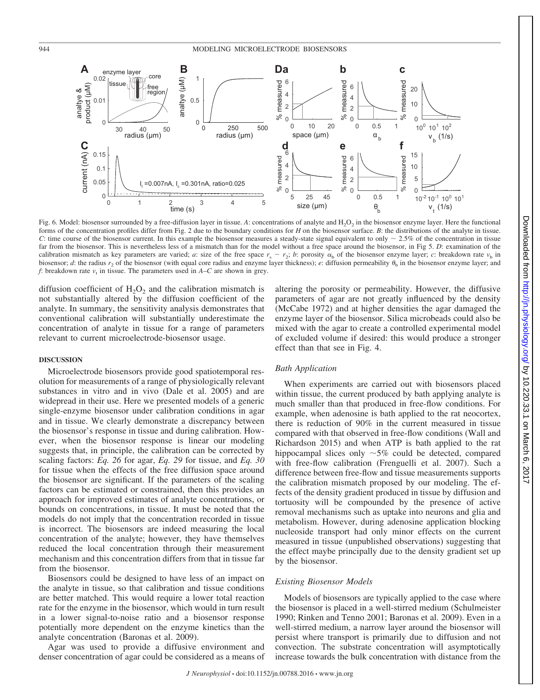# 944 MODELING MICROELECTRODE BIOSENSORS



Fig. 6. Model: biosensor surrounded by a free-diffusion layer in tissue. A: concentrations of analyte and H<sub>2</sub>O<sub>2</sub> in the biosensor enzyme layer. Here the functional forms of the concentration profiles differ from Fig. 2 due to the boundary conditions for *H* on the biosensor surface. *B*: the distributions of the analyte in tissue. *C*: time course of the biosensor current. In this example the biosensor measures a steady-state signal equivalent to only  $\sim 2.5\%$  of the concentration in tissue far from the biosensor. This is nevertheless less of a mismatch than for the model without a free space around the biosensor, in Fig 5. *D*: examination of the calibration mismatch as key parameters are varied; *a*: size of the free space  $r_s - r_2$ ; *b*: porosity  $\alpha_b$  of the biosensor enzyme layer; *c*: breakdown rate  $v_b$  in biosensor; *d*: the radius  $r_2$  of the biosensor (with equal core radius and enzyme layer thickness); *e*: diffusion permeability  $\theta_b$  in the biosensor enzyme layer; and *f*: breakdown rate  $v_t$  in tissue. The parameters used in  $A-C$  are shown in grey.

diffusion coefficient of  $H_2O_2$  and the calibration mismatch is not substantially altered by the diffusion coefficient of the analyte. In summary, the sensitivity analysis demonstrates that conventional calibration will substantially underestimate the concentration of analyte in tissue for a range of parameters relevant to current microelectrode-biosensor usage.

# **DISCUSSION**

Microelectrode biosensors provide good spatiotemporal resolution for measurements of a range of physiologically relevant substances in vitro and in vivo (Dale et al. 2005) and are widepread in their use. Here we presented models of a generic single-enzyme biosensor under calibration conditions in agar and in tissue. We clearly demonstrate a discrepancy between the biosensor's response in tissue and during calibration. However, when the biosensor response is linear our modeling suggests that, in principle, the calibration can be corrected by scaling factors: *Eq. 26* for agar, *Eq. 29* for tissue, and *Eq. 30* for tissue when the effects of the free diffusion space around the biosensor are significant. If the parameters of the scaling factors can be estimated or constrained, then this provides an approach for improved estimates of analyte concentrations, or bounds on concentrations, in tissue. It must be noted that the models do not imply that the concentration recorded in tissue is incorrect. The biosensors are indeed measuring the local concentration of the analyte; however, they have themselves reduced the local concentration through their measurement mechanism and this concentration differs from that in tissue far from the biosensor.

Biosensors could be designed to have less of an impact on the analyte in tissue, so that calibration and tissue conditions are better matched. This would require a lower total reaction rate for the enzyme in the biosensor, which would in turn result in a lower signal-to-noise ratio and a biosensor response potentially more dependent on the enzyme kinetics than the analyte concentration (Baronas et al. 2009).

Agar was used to provide a diffusive environment and denser concentration of agar could be considered as a means of altering the porosity or permeability. However, the diffusive parameters of agar are not greatly influenced by the density (McCabe 1972) and at higher densities the agar damaged the enzyme layer of the biosensor. Silica microbeads could also be mixed with the agar to create a controlled experimental model of excluded volume if desired: this would produce a stronger effect than that see in Fig. 4.

# *Bath Application*

When experiments are carried out with biosensors placed within tissue, the current produced by bath applying analyte is much smaller than that produced in free-flow conditions. For example, when adenosine is bath applied to the rat neocortex, there is reduction of 90% in the current measured in tissue compared with that observed in free-flow conditions (Wall and Richardson 2015) and when ATP is bath applied to the rat hippocampal slices only  $\sim$ 5% could be detected, compared with free-flow calibration (Frenguelli et al. 2007). Such a difference between free-flow and tissue measurements supports the calibration mismatch proposed by our modeling. The effects of the density gradient produced in tissue by diffusion and tortuosity will be compounded by the presence of active removal mechanisms such as uptake into neurons and glia and metabolism. However, during adenosine application blocking nucleoside transport had only minor effects on the current measured in tissue (unpublished observations) suggesting that the effect maybe principally due to the density gradient set up by the biosensor.

## *Existing Biosensor Models*

Models of biosensors are typically applied to the case where the biosensor is placed in a well-stirred medium (Schulmeister 1990; Rinken and Tenno 2001; Baronas et al. 2009). Even in a well-stirred medium, a narrow layer around the biosensor will persist where transport is primarily due to diffusion and not convection. The substrate concentration will asymptotically increase towards the bulk concentration with distance from the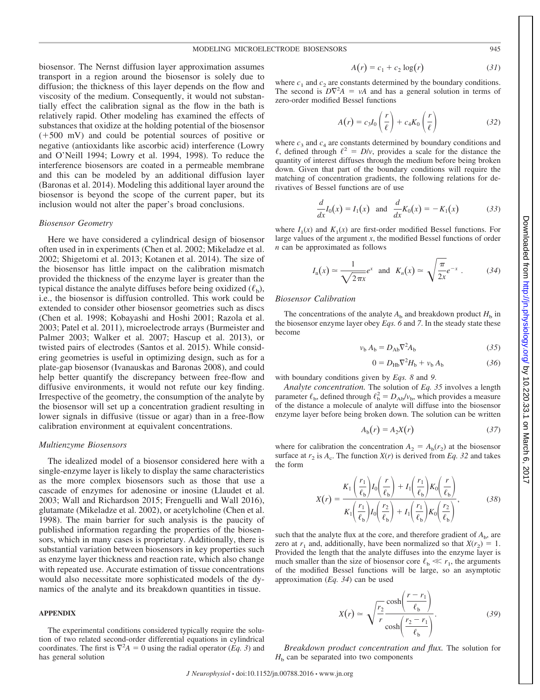biosensor. The Nernst diffusion layer approximation assumes transport in a region around the biosensor is solely due to diffusion; the thickness of this layer depends on the flow and viscosity of the medium. Consequently, it would not substantially effect the calibration signal as the flow in the bath is relatively rapid. Other modeling has examined the effects of substances that oxidize at the holding potential of the biosensor (500 mV) and could be potential sources of positive or negative (antioxidants like ascorbic acid) interference (Lowry and O'Neill 1994; Lowry et al. 1994, 1998). To reduce the interference biosensors are coated in a permeable membrane and this can be modeled by an additional diffusion layer (Baronas et al. 2014). Modeling this additional layer around the biosensor is beyond the scope of the current paper, but its inclusion would not alter the paper's broad conclusions.

## *Biosensor Geometry*

Here we have considered a cylindrical design of biosensor often used in in experiments (Chen et al. 2002; Mikeladze et al. 2002; Shigetomi et al. 2013; Kotanen et al. 2014). The size of the biosensor has little impact on the calibration mismatch provided the thickness of the enzyme layer is greater than the typical distance the analyte diffuses before being oxidized  $(\ell_b)$ , i.e., the biosensor is diffusion controlled. This work could be extended to consider other biosensor geometries such as discs (Chen et al. 1998; Kobayashi and Hoshi 2001; Razola et al. 2003; Patel et al. 2011), microelectrode arrays (Burmeister and Palmer 2003; Walker et al. 2007; Hascup et al. 2013), or twisted pairs of electrodes (Santos et al. 2015). While considering geometries is useful in optimizing design, such as for a plate-gap biosensor (Ivanauskas and Baronas 2008), and could help better quantify the discrepancy between free-flow and diffusive environments, it would not refute our key finding. Irrespective of the geometry, the consumption of the analyte by the biosensor will set up a concentration gradient resulting in lower signals in diffusive (tissue or agar) than in a free-flow calibration environment at equivalent concentrations.

## *Multienzyme Biosensors*

The idealized model of a biosensor considered here with a single-enzyme layer is likely to display the same characteristics as the more complex biosensors such as those that use a cascade of enzymes for adenosine or inosine (Llaudet et al. 2003; Wall and Richardson 2015; Frenguelli and Wall 2016), glutamate (Mikeladze et al. 2002), or acetylcholine (Chen et al. 1998). The main barrier for such analysis is the paucity of published information regarding the properties of the biosensors, which in many cases is proprietary. Additionally, there is substantial variation between biosensors in key properties such as enzyme layer thickness and reaction rate, which also change with repeated use. Accurate estimation of tissue concentrations would also necessitate more sophisticated models of the dynamics of the analyte and its breakdown quantities in tissue.

## **APPENDIX**

The experimental conditions considered typically require the solution of two related second-order differential equations in cylindrical coordinates. The first is  $\nabla^2 A = 0$  using the radial operator (*Eq. 3*) and has general solution

$$
A(r) = c_1 + c_2 \log(r) \tag{31}
$$

where  $c_1$  and  $c_2$  are constants determined by the boundary conditions. The second is  $D\nabla^2 A = vA$  and has a general solution in terms of zero-order modified Bessel functions

$$
A(r) = c_3 I_0 \left(\frac{r}{\ell}\right) + c_4 K_0 \left(\frac{r}{\ell}\right) \tag{32}
$$

where  $c_3$  and  $c_4$  are constants determined by boundary conditions and  $\ell$ , defined through  $\ell^2 = D/v$ , provides a scale for the distance the quantity of interest diffuses through the medium before being broken down. Given that part of the boundary conditions will require the matching of concentration gradients, the following relations for derivatives of Bessel functions are of use

$$
\frac{d}{dx}I_0(x) = I_1(x) \text{ and } \frac{d}{dx}K_0(x) = -K_1(x) \quad (33)
$$

where  $I_1(x)$  and  $K_1(x)$  are first-order modified Bessel functions. For large values of the argument *x*, the modified Bessel functions of order *n* can be approximated as follows

$$
I_n(x) \simeq \frac{1}{\sqrt{2\pi x}} e^x
$$
 and  $K_n(x) \simeq \sqrt{\frac{\pi}{2x}} e^{-x}$ . (34)

## *Biosensor Calibration*

The concentrations of the analyte  $A_b$  and breakdown product  $H_b$  in the biosensor enzyme layer obey *Eqs. 6* and *7*. In the steady state these become

$$
v_{\rm b} A_{\rm b} = D_{\rm Ab} \nabla^2 A_{\rm b} \tag{35}
$$

$$
0 = D_{\rm Hb} \nabla^2 H_b + v_b A_b \tag{36}
$$

with boundary conditions given by *Eqs. 8* and *9*.

*Analyte concentration.* The solution of *Eq. 35* involves a length parameter  $\ell_{\rm b}$ , defined through  $\ell_{\rm b}^2 = D_{\rm Ab}/v_{\rm b}$ , which provides a measure of the distance a molecule of analyte will diffuse into the biosensor enzyme layer before being broken down. The solution can be written

$$
A_{b}(r) = A_{2}X(r) \tag{37}
$$

where for calibration the concentration  $A_2 = A_b(r_2)$  at the biosensor surface at  $r_2$  is  $A_c$ . The function  $X(r)$  is derived from Eq. 32 and takes the form

$$
X(r) = \frac{K_1 \left(\frac{r_1}{\ell_b}\right) I_0 \left(\frac{r}{\ell_b}\right) + I_1 \left(\frac{r_1}{\ell_b}\right) K_0 \left(\frac{r}{\ell_b}\right)}{K_1 \left(\frac{r_1}{\ell_b}\right) I_0 \left(\frac{r_2}{\ell_b}\right) + I_1 \left(\frac{r_1}{\ell_b}\right) K_0 \left(\frac{r_2}{\ell_b}\right)},
$$
(38)

such that the analyte flux at the core, and therefore gradient of  $A_{\rm b}$ , are zero at  $r_1$  and, additionally, have been normalized so that  $X(r_2) = 1$ . Provided the length that the analyte diffuses into the enzyme layer is much smaller than the size of biosensor core  $\ell_{\rm b} \ll r_1$ , the arguments of the modified Bessel functions will be large, so an asymptotic approximation (*Eq. 34*) can be used

$$
X(r) \simeq \sqrt{\frac{r_2}{r} \frac{\cosh\left(\frac{r - r_1}{\ell_b}\right)}{\cosh\left(\frac{r_2 - r_1}{\ell_b}\right)}}.
$$
 (39)

*Breakdown product concentration and flux.* The solution for  $H<sub>b</sub>$  can be separated into two components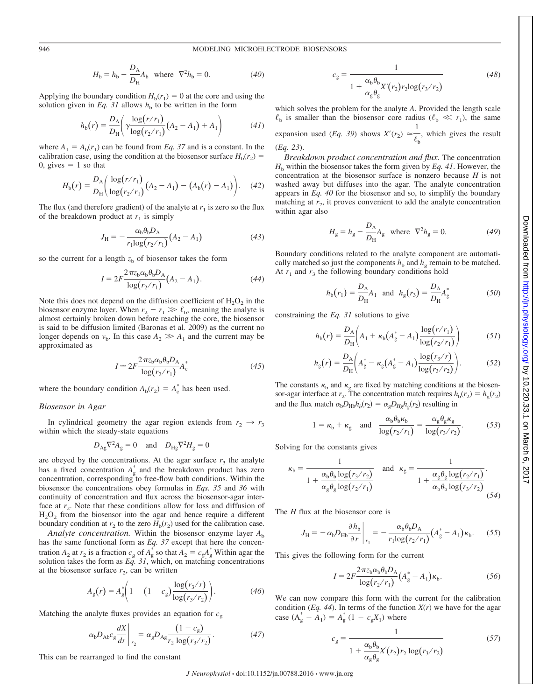$H_b = h_b - \frac{D_A}{D_H} A_b$  where  $\nabla^2 h_b = 0.$  (40)

Applying the boundary condition  $H_b(r_1) = 0$  at the core and using the solution given in *Eq. 31* allows  $h<sub>b</sub>$  to be written in the form

$$
h_{\rm b}(r) = \frac{D_{\rm A}}{D_{\rm H}} \left( \gamma \frac{\log(r/r_1)}{\log(r_2/r_1)} (A_2 - A_1) + A_1 \right) \tag{41}
$$

where  $A_1 = A_b(r_1)$  can be found from *Eq. 37* and is a constant. In the calibration case, using the condition at the biosensor surface  $H_b(r_2)$  =  $0, \text{ gives } = 1 \text{ so that}$ 

$$
H_{b}(r) = \frac{D_{A}}{D_{H}} \left( \frac{\log(r/r_{1})}{\log(r_{2}/r_{1})} (A_{2} - A_{1}) - (A_{b}(r) - A_{1}) \right). \quad (42)
$$

The flux (and therefore gradient) of the analyte at  $r_1$  is zero so the flux of the breakdown product at  $r_1$  is simply

$$
J_{\rm H} = -\frac{\alpha_{\rm b}\theta_{\rm b}D_{\rm A}}{r_1 \log(r_2/r_1)}(A_2 - A_1) \tag{43}
$$

so the current for a length  $z<sub>b</sub>$  of biosensor takes the form

$$
I = 2F \frac{2\pi z_b \alpha_b \theta_b D_A}{\log(r_2/r_1)} (A_2 - A_1).
$$
 (44)

Note this does not depend on the diffusion coefficient of  $H_2O_2$  in the biosensor enzyme layer. When  $r_2 - r_1 \gg \ell_b$ , meaning the analyte is almost certainly broken down before reaching the core, the biosensor is said to be diffusion limited (Baronas et al. 2009) as the current no longer depends on  $v_{\rm b}$ . In this case  $A_2 \gg A_1$  and the current may be approximated as

$$
I \simeq 2F \frac{2\pi z_b \alpha_b \theta_b D_A}{\log(r_2/r_1)} A_c^*
$$
\n(45)

where the boundary condition  $A_b(r_2) = A_c^*$  has been used.

## *Biosensor in Agar*

In cylindrical geometry the agar region extends from  $r_2 \rightarrow r_3$ within which the steady-state equations

$$
D_{\rm Ag}\nabla^2 A_{\rm g} = 0 \quad \text{and} \quad D_{\rm Hg}\nabla^2 H_{\rm g} = 0
$$

are obeyed by the concentrations. At the agar surface  $r<sub>3</sub>$  the analyte has a fixed concentration  $A_{g}^{*}$  and the breakdown product has zero concentration, corresponding to free-flow bath conditions. Within the biosensor the concentrations obey formulas in *Eqs. 35* and *36* with continuity of concentration and flux across the biosensor-agar interface at  $r<sub>2</sub>$ . Note that these conditions allow for loss and diffusion of  $H<sub>2</sub>O<sub>2</sub>$  from the biosensor into the agar and hence require a different boundary condition at  $r_2$  to the zero  $H_b(r_2)$  used for the calibration case.

*Analyte concentration.* Within the biosensor enzyme layer *A*<sup>b</sup> has the same functional form as *Eq. 37* except that here the concentration  $A_2$  at  $r_2$  is a fraction  $c_g$  of  $A_g^*$  so that  $A_2 = c_g A_g^*$  Within agar the solution takes the form as  $Eq$ . 31, which, on matching concentrations at the biosensor surface  $r_2$ , can be written

$$
A_g(r) = A_g^* \left( 1 - (1 - c_g) \frac{\log(r_3/r)}{\log(r_3/r_2)} \right).
$$
 (46)

Matching the analyte fluxes provides an equation for  $c_{\rm g}$ 

$$
\alpha_{b}D_{Ab}c_{g}\frac{dX}{dr}\bigg|_{r_{2}} = \alpha_{g}D_{Ag}\frac{(1-c_{g})}{r_{2}\log(r_{3}/r_{2})}.
$$
 (47)

This can be rearranged to find the constant

$$
c_{\rm g} = \frac{1}{1 + \frac{\alpha_{\rm b}\theta_{\rm b}}{\alpha_{\rm g}\theta_{\rm g}}X'(r_2)r_2\log(r_3/r_2)}\tag{48}
$$

which solves the problem for the analyte *A*. Provided the length scale  $\ell_{\rm b}$  is smaller than the biosensor core radius ( $\ell_{\rm b} \ll r_1$ ), the same expansion used (*Eq. 39*) shows  $X'(r_2) \simeq \frac{1}{\ell_b}$ , which gives the result

(*Eq. 23*).

*Breakdown product concentration and flux.* The concentration  $H<sub>b</sub>$  within the biosensor takes the form given by *Eq. 41*. However, the concentration at the biosensor surface is nonzero because *H* is not washed away but diffuses into the agar. The analyte concentration appears in *Eq. 40* for the biosensor and so, to simplify the boundary matching at  $r<sub>2</sub>$ , it proves convenient to add the analyte concentration within agar also

$$
H_{\rm g} = h_{\rm g} - \frac{D_{\rm A}}{D_{\rm H}} A_{\rm g} \quad \text{where} \quad \nabla^2 h_{\rm g} = 0. \tag{49}
$$

Boundary conditions related to the analyte component are automatically matched so just the components  $h<sub>b</sub>$  and  $h<sub>g</sub>$  remain to be matched. At  $r_1$  and  $r_3$  the following boundary conditions hold

$$
h_b(r_1) = \frac{D_A}{D_H} A_1
$$
 and  $h_g(r_3) = \frac{D_A}{D_H} A_g^*$  (50)

constraining the *Eq. 31* solutions to give

$$
h_{\rm b}(r) = \frac{D_{\rm A}}{D_{\rm H}} \bigg( A_1 + \kappa_{\rm b} (A_{\rm g}^* - A_1) \frac{\log(r/r_1)}{\log(r_2/r_1)} \bigg) \tag{51}
$$

$$
u_{g}(r) = \frac{D_{A}}{D_{H}} \left( A_{g}^{*} - \kappa_{g} (A_{g}^{*} - A_{1}) \frac{\log(r_{3}/r)}{\log(r_{3}/r_{2})} \right). \tag{52}
$$

The constants  $\kappa_b$  and  $\kappa_g$  are fixed by matching conditions at the biosensor-agar interface at  $r_2$ . The concentration match requires  $h_b(r_2) = h_g(r_2)$ and the flux match  $\alpha_b D_{Hb} h_b(r_2) = \alpha_g D_{Hg} h_g(r_2)$  resulting in

$$
1 = \kappa_b + \kappa_g \quad \text{and} \quad \frac{\alpha_b \theta_b \kappa_b}{\log(r_2/r_1)} = \frac{\alpha_g \theta_g \kappa_g}{\log(r_3/r_2)}.
$$
 (53)

Solving for the constants gives

*h*g-

$$
\kappa_{b} = \frac{1}{1 + \frac{\alpha_{b} \theta_{b} \log(r_{3}/r_{2})}{\alpha_{g} \theta_{g} \log(r_{2}/r_{1})}} \quad \text{and} \quad \kappa_{g} = \frac{1}{1 + \frac{\alpha_{g} \theta_{g} \log(r_{2}/r_{1})}{\alpha_{b} \theta_{b} \log(r_{3}/r_{2})}}.
$$
\n(54)

The *H* flux at the biosensor core is

$$
J_{\rm H} = -\alpha_{\rm b} D_{\rm Hb} \frac{\partial h_{\rm b}}{\partial r} \bigg|_{r_1} = -\frac{\alpha_{\rm b} \theta_{\rm b} D_{\rm A}}{r_1 \log(r_2/r_1)} \big(A_{\rm g}^* - A_1\big) \kappa_{\rm b}.\tag{55}
$$

This gives the following form for the current

$$
I = 2F \frac{2\pi z_b \alpha_b \theta_b D_A}{\log(r_2/r_1)} (A_g^* - A_1) \kappa_b.
$$
 (56)

We can now compare this form with the current for the calibration condition  $(Eq. 44)$ . In terms of the function  $X(r)$  we have for the agar case  $(A_g^* - A_1) = A_g^* (1 - c_g X_1)$  where

$$
c_{g} = \frac{1}{1 + \frac{\alpha_{b} \theta_{b}}{\alpha_{g} \theta_{g}} X(r_{2}) r_{2} \log(r_{3}/r_{2})}
$$
(57)

946 MODELING MICROELECTRODE BIOSENSORS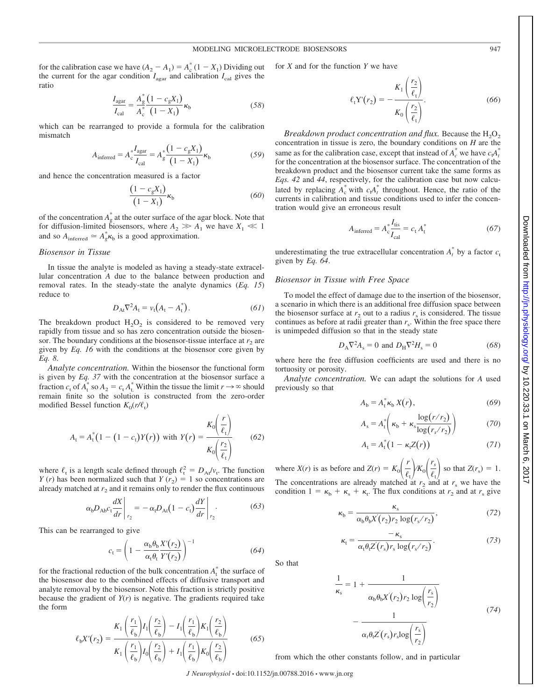for the calibration case we have  $(A_2 - A_1) = A_c^* (1 - X_1)$  Dividing out the current for the agar condition  $I_{\text{near}}$  and calibration  $I_{\text{cal}}$  gives the ratio

$$
\frac{I_{\text{agar}}}{I_{\text{cal}}} = \frac{A_{\text{g}}^{*}}{A_{\text{c}}^{*}} \frac{\left(1 - c_{\text{g}} X_{1}\right)}{\left(1 - X_{1}\right)} \kappa_{\text{b}}
$$
(58)

which can be rearranged to provide a formula for the calibration mismatch

$$
A_{\text{inferred}} = A_{\text{c}}^* \frac{I_{\text{agar}}}{I_{\text{cal}}} = A_{\text{g}}^* \frac{\left(1 - c_{\text{g}} X_1\right)}{\left(1 - X_1\right)} \kappa_{\text{b}} \tag{59}
$$

and hence the concentration measured is a factor

$$
\frac{\left(1 - c_{g}X_{1}\right)}{\left(1 - X_{1}\right)} \kappa_{b} \tag{60}
$$

of the concentration  $A_g^*$  at the outer surface of the agar block. Note that for diffusion-limited biosensors, where  $A_2 \gg A_1$  we have  $X_1 \ll 1$ and so  $A_{\text{inferred}} \simeq A_{g}^{*} \kappa_{b}$  is a good approximation.

# *Biosensor in Tissue*

In tissue the analyte is modeled as having a steady-state extracellular concentration *A* due to the balance between production and removal rates. In the steady-state the analyte dynamics (*Eq. 15*) reduce to

$$
D_{\text{At}} \nabla^2 A_t = v_t (A_t - A_t^*).
$$
 (61)

*r*

The breakdown product  $H_2O_2$  is considered to be removed very rapidly from tissue and so has zero concentration outside the biosensor. The boundary conditions at the biosensor-tissue interface at  $r<sub>2</sub>$  are given by *Eq. 16* with the conditions at the biosensor core given by *Eq. 8*.

*Analyte concentration.* Within the biosensor the functional form is given by *Eq. 37* with the concentration at the biosensor surface a fraction  $c_t$  of  $A_t^*$  so  $A_2 = c_t A_t^*$ . Within the tissue the limit  $r \to \infty$  should remain finite so the solution is constructed from the zero-order modified Bessel function  $K_0(r/l_t)$ 

$$
A_{\rm t} = A_{\rm t}^* \left(1 - \left(1 - c_{\rm t}\right) Y(r)\right) \text{ with } Y(r) = \frac{K_0 \left(\frac{r}{\ell_{\rm t}}\right)}{K_0 \left(\frac{r_2}{\ell_{\rm t}}\right)}\tag{62}
$$

where  $\ell_t$  is a length scale defined through  $\ell_t^2 = D_{\text{At}}/v_t$ . The function *Y* (*r*) has been normalized such that *Y* ( $r_2$ ) = 1 so concentrations are already matched at  $r_2$  and it remains only to render the flux continuous

$$
\alpha_{\rm b}D_{\rm Ab}c_{\rm t}\frac{dX}{dr}\bigg|_{r_2} = -\alpha_{\rm t}D_{\rm At}(1-c_{\rm t})\frac{dY}{dr}\bigg|_{r_2}.\tag{63}
$$

This can be rearranged to give

$$
c_{\rm t} = \left(1 - \frac{\alpha_{\rm b} \theta_{\rm b} X'(r_2)}{\alpha_{\rm t} \theta_{\rm t} Y'(r_2)}\right)^{-1} \tag{64}
$$

for the fractional reduction of the bulk concentration  $A_t^*$  the surface of the biosensor due to the combined effects of diffusive transport and analyte removal by the biosensor. Note this fraction is strictly positive because the gradient of  $Y(r)$  is negative. The gradients required take the form

$$
\ell_{\rm b} X'(r_2) = \frac{K_1 \left(\frac{r_1}{\ell_{\rm b}}\right) I_1 \left(\frac{r_2}{\ell_{\rm b}}\right) - I_1 \left(\frac{r_1}{\ell_{\rm b}}\right) K_1 \left(\frac{r_2}{\ell_{\rm b}}\right)}{K_1 \left(\frac{r_1}{\ell_{\rm b}}\right) I_0 \left(\frac{r_2}{\ell_{\rm b}}\right) + I_1 \left(\frac{r_1}{\ell_{\rm b}}\right) K_0 \left(\frac{r_2}{\ell_{\rm b}}\right)}\tag{65}
$$

for *X* and for the function *Y* we have

$$
\ell_{t}Y'(r_{2}) = -\frac{K_{1}\left(\frac{r_{2}}{\ell_{t}}\right)}{K_{0}\left(\frac{r_{2}}{\ell_{t}}\right)}.
$$
\n(66)

*Breakdown product concentration and flux.* Because the  $H_2O_2$ concentration in tissue is zero, the boundary conditions on *H* are the same as for the calibration case, except that instead of  $A_c^*$  we have  $c_t A_t^*$ for the concentration at the biosensor surface. The concentration of the breakdown product and the biosensor current take the same forms as *Eqs. 42* and *44*, respectively, for the calibration case but now calculated by replacing  $A_c^*$  with  $c_t A_t^*$  throughout. Hence, the ratio of the currents in calibration and tissue conditions used to infer the concentration would give an erroneous result

$$
A_{\text{inferred}} = A_{\text{c}}^* \frac{I_{\text{tis}}}{I_{\text{cal}}} = c_{\text{t}} A_{\text{t}}^* \tag{67}
$$

underestimating the true extracellular concentration  $A_t^*$  by a factor  $c_t$ given by *Eq. 64*.

## *Biosensor in Tissue with Free Space*

To model the effect of damage due to the insertion of the biosensor, a scenario in which there is an additional free diffusion space between the biosensor surface at  $r_2$  out to a radius  $r_s$  is considered. The tissue continues as before at radii greater than  $r_s$ . Within the free space there is unimpeded diffusion so that in the steady state

$$
D_{\rm A}\nabla^2 A_{\rm s} = 0 \text{ and } D_{\rm H}\nabla^2 H_{\rm s} = 0 \tag{68}
$$

where here the free diffusion coefficients are used and there is no tortuosity or porosity.

*Analyte concentration.* We can adapt the solutions for *A* used previously so that

$$
A_{\mathbf{b}} = A_{\mathbf{t}}^* \kappa_{\mathbf{b}} X(r), \tag{69}
$$

$$
A_s = A_t^* \left( \kappa_b + \kappa_s \frac{\log(r/r_2)}{\log(r_s/r_2)} \right) \tag{70}
$$

$$
A_{t} = A_{t}^{*} \left( 1 - \kappa_{t} Z(r) \right) \tag{71}
$$

where *X*(*r*) is as before and *Z*(*r*) =  $K_0 \left(\frac{r}{\ell}\right)$  $\left(\frac{r}{\ell_{\rm t}}\right)$ *K*<sub>0</sub> $\left(\frac{r}{\ell_{\rm t}}\right)$ *rs*  $\left(\frac{r_s}{\ell_{\rm t}}\right)$  so that  $Z(r_{\rm s}) = 1$ . The concentrations are already matched at  $r_2$  and at  $r_s$  we have the condition  $1 = \kappa_b + \kappa_s + \kappa_t$ . The flux conditions at  $r_2$  and at  $r_s$  give

$$
\kappa_{\rm b} = \frac{\kappa_{\rm s}}{\alpha_{\rm b}\theta_{\rm b}X(r_2)r_2\log(r_{\rm s}/r_2)},\tag{72}
$$

$$
\kappa_{t} = \frac{-\kappa_{s}}{\alpha_{t} \theta_{t} Z(r_{s}) r_{s} \log(r_{s}/r_{2})}.
$$
 (73)

So that

$$
\frac{1}{\kappa_s} = 1 + \frac{1}{\alpha_b \theta_b X(r_2) r_2 \log\left(\frac{r_s}{r_2}\right)}
$$

$$
-\frac{1}{\alpha_t \theta_t Z(r_s) r_s \log\left(\frac{r_s}{r_2}\right)}
$$
(74)

from which the other constants follow, and in particular

*J Neurophysiol* • doi:10.1152/jn.00788.2016 • www.jn.org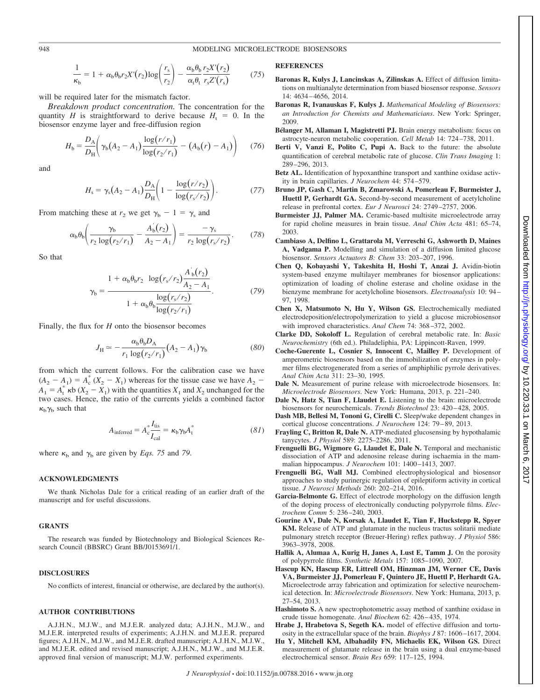# 948 MODELING MICROELECTRODE BIOSENSORS

$$
\frac{1}{\kappa_b} = 1 + \alpha_b \theta_b r_2 X'(r_2) \log \left(\frac{r_s}{r_2}\right) - \frac{\alpha_b \theta_b}{\alpha_t \theta_t} \frac{r_2 X'(r_2)}{r_s Z'(r_s)} \tag{75}
$$

will be required later for the mismatch factor.

*Breakdown product concentration.* The concentration for the quantity *H* is straightforward to derive because  $H_t = 0$ . In the biosensor enzyme layer and free-diffusion region

$$
H_{b} = \frac{D_{A}}{D_{H}} \left( \gamma_{b} (A_{2} - A_{1}) \frac{\log(r/r_{1})}{\log(r_{2}/r_{1})} - (A_{b}(r) - A_{1}) \right) \tag{76}
$$

and

$$
H_{\rm s} = \gamma_{\rm s}(A_2 - A_1) \frac{D_{\rm A}}{D_{\rm H}} \bigg( 1 - \frac{\log(r/r_2)}{\log(r_s/r_2)} \bigg). \tag{77}
$$

From matching these at  $r_2$  we get  $\gamma_b - 1 = \gamma_s$  and

$$
\alpha_{b}\theta_{b} \bigg(\frac{\gamma_{b}}{r_{2}\log(r_{2}/r_{1})} - \frac{A_{b}^{'}(r_{2})}{A_{2} - A_{1}}\bigg) = \frac{-\gamma_{s}}{r_{2}\log(r_{s}/r_{2})}.
$$
 (78)

So that

$$
\gamma_{b} = \frac{1 + \alpha_{b} \theta_{b} r_{2} \log(r_{s}/r_{2}) \frac{A_{b}'(r_{2})}{A_{2} - A_{1}}}{1 + \alpha_{b} \theta_{b} \frac{\log(r_{s}/r_{2})}{\log(r_{2}/r_{1})}}.
$$
(79)

Finally, the flux for *H* onto the biosensor becomes

$$
J_{\rm H} \simeq -\frac{\alpha_{\rm b}\theta_{\rm b}D_{\rm A}}{r_1 \log(r_2/r_1)} \left(A_2 - A_1\right)\gamma_{\rm b} \tag{80}
$$

from which the current follows. For the calibration case we have  $(A_2 - A_1) = A_c^* (X_2 - X_1)$  whereas for the tissue case we have  $A_2$  –  $A_1 = A_t^*$  *k*b  $(X_2 - X_1)$  with the quantities  $X_1$  and  $X_2$  unchanged for the two cases. Hence, the ratio of the currents yields a combined factor  $\kappa_{\rm b}\gamma_{\rm b}$  such that

$$
A_{\text{inferred}} = A_{\text{c}}^* \frac{I_{\text{tis}}}{I_{\text{cal}}} = \kappa_{\text{b}} \gamma_{\text{b}} A_{\text{t}}^* \tag{81}
$$

where  $\kappa_b$  and  $\gamma_b$  are given by *Eqs. 75* and 79.

### **ACKNOWLEDGMENTS**

We thank Nicholas Dale for a critical reading of an earlier draft of the manuscript and for useful discussions.

# **GRANTS**

The research was funded by Biotechnology and Biological Sciences Research Council (BBSRC) Grant BB/J0153691/1.

## **DISCLOSURES**

No conflicts of interest, financial or otherwise, are declared by the author(s).

## **AUTHOR CONTRIBUTIONS**

A.J.H.N., M.J.W., and M.J.E.R. analyzed data; A.J.H.N., M.J.W., and M.J.E.R. interpreted results of experiments; A.J.H.N. and M.J.E.R. prepared figures; A.J.H.N., M.J.W., and M.J.E.R. drafted manuscript; A.J.H.N., M.J.W., and M.J.E.R. edited and revised manuscript; A.J.H.N., M.J.W., and M.J.E.R. approved final version of manuscript; M.J.W. performed experiments.

## **REFERENCES**

- **Baronas R, Kulys J, Lancinskas A, Zilinskas A.** Effect of diffusion limitations on multianalyte determination from biased biosensor response. *Sensors* 14: 4634 – 4656, 2014.
- **Baronas R, Ivanauskas F, Kulys J.** *Mathematical Modeling of Biosensors: an Introduction for Chemists and Mathematicians*. New York: Springer, 2009.
- **Bélanger M, Allaman I, Magistretti PJ.** Brain energy metabolism: focus on astrocyte-neuron metabolic cooperation. *Cell Metab* 14: 724 –738, 2011.
- **Berti V, Vanzi E, Polito C, Pupi A.** Back to the future: the absolute quantification of cerebral metabolic rate of glucose. *Clin Trans Imaging* 1: 289 –296, 2013.
- **Betz AL.** Identification of hypoxanthine transport and xanthine oxidase activity in brain capillaries. *J Neurochem* 44: 574 –579.
- **Bruno JP, Gash C, Martin B, Zmarowski A, Pomerleau F, Burmeister J, Huettl P, Gerhardt GA.** Second-by-second measurement of acetylcholine release in prefrontal cortex. *Eur J Neurosci* 24: 2749 –2757, 2006.
- **Burmeister JJ, Palmer MA.** Ceramic-based multisite microelectrode array for rapid choline measures in brain tissue. *Anal Chim Acta* 481: 65–74, 2003.
- **Cambiaso A, Delfino L, Grattarola M, Verreschi G, Ashworth D, Maines A, Vadgama P.** Modelling and simulation of a diffusion limited glucose biosensor. *Sensors Actuators B: Chem* 33: 203–207, 1996.
- **Chen Q, Kobayashi Y, Takeshita H, Hoshi T, Anzai J.** Avidin-biotin system-based enzyme multilayer membranes for biosensor applications: optimization of loading of choline esterase and choline oxidase in the bienzyme membrane for acetylcholine biosensors. *Electroanalysis* 10: 94 – 97, 1998.
- **Chen X, Matsumoto N, Hu Y, Wilson GS.** Electrochemically mediated electrodeposition/electropolymerization to yield a glucose microbiosensor with improved characteristics. *Anal Chem* 74: 368 –372, 2002.
- **Clarke DD, Sokoloff L.** Regulation of cerebral metabolic rate. In: *Basic Neurochemistry* (6th ed.). Philadeliphia, PA: Lippincott-Raven, 1999.
- **Coche-Guerente L, Cosnier S, Innocent C, Mailley P.** Development of amperometric biosensors based on the immobilization of enzymes in polymer films electrogenerated from a series of amphiphilic pyrrole derivatives. *Anal Chim Acta* 311: 23–30, 1995.
- **Dale N.** Measurement of purine release with microelectrode biosensors. In: *Microelectrode Biosensors*. New York: Humana, 2013, p. 221–240.
- **Dale N, Hatz S, Tian F, Llaudet E.** Listening to the brain: microelectrode biosensors for neurochemicals. *Trends Biotechnol* 23: 420 – 428, 2005.
- **Dash MB, Bellesi M, Tononi G, Cirelli C.** Sleep/wake dependent changes in cortical glucose concentrations. *J Neurochem* 124: 79 – 89, 2013.
- **Frayling C, Britton R, Dale N.** ATP-mediated glucosensing by hypothalamic tanycytes. *J Physiol* 589: 2275–2286, 2011.
- **Frenguelli BG, Wigmore G, Llaudet E, Dale N.** Temporal and mechanistic dissociation of ATP and adenosine release during ischaemia in the mammalian hippocampus. *J Neurochem* 101: 1400-1413, 2007.
- **Frenguelli BG, Wall MJ.** Combined electrophysiological and biosensor approaches to study purinergic regulation of epileptiform activity in cortical tissue. *J Neurosci Methods* 260: 202–214, 2016.
- **Garcia-Belmonte G.** Effect of electrode morphology on the diffusion length of the doping process of electronically conducting polypyrrole films. *Electrochem Comm* 5: 236 –240, 2003.
- **Gourine AV, Dale N, Korsak A, Llaudet E, Tian F, Huckstepp R, Spyer KM.** Release of ATP and glutamate in the nucleus tractus solitarii mediate pulmonary stretch receptor (Breuer-Hering) reflex pathway. *J Physiol* 586: 3963–3978, 2008.
- **Hallik A, Alumaa A, Kurig H, Janes A, Lust E, Tamm J.** On the porosity of polypyrrole films. *Synthetic Metals* 157: 1085–1090, 2007.
- **Hascup KN, Hascup ER, Littrell OM, Hinzman JM, Werner CE, Davis VA, Burmeister JJ, Pomerleau F, Quintero JE, Huettl P, Herhardt GA.** Microelectrode array fabrication and optimization for selective neurochemical detection. In: *Microelectrode Biosensors*. New York: Humana, 2013, p. 27–54, 2013.
- **Hashimoto S.** A new spectrophotometric assay method of xanthine oxidase in crude tissue homogenate. *Anal Biochem* 62: 426 – 435, 1974.
- **Hrabe J, Hrabetova S, Segeth KA.** model of effective diffusion and tortuosity in the extracellular space of the brain. *Biophys J* 87: 1606 –1617, 2004.
- **Hu Y, Mitchell KM, Albahadily FN, Michaelis EK, Wilson GS.** Direct measurement of glutamate release in the brain using a dual enzyme-based electrochemical sensor. *Brain Res* 659: 117–125, 1994.